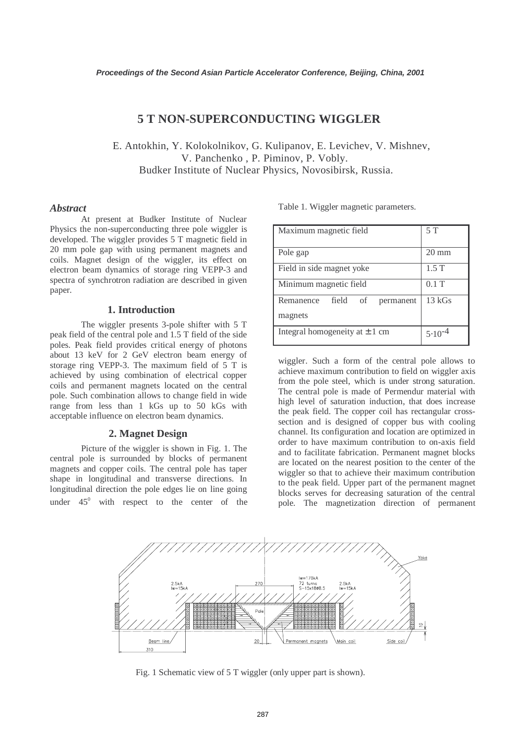# **5 T NON-SUPERCONDUCTING WIGGLER**

E. Antokhin, Y. Kolokolnikov, G. Kulipanov, E. Levichev, V. Mishnev, V. Panchenko , P. Piminov, P. Vobly. Budker Institute of Nuclear Physics, Novosibirsk, Russia.

#### *Abstract*

At present at Budker Institute of Nuclear Physics the non-superconducting three pole wiggler is developed. The wiggler provides 5 T magnetic field in 20 mm pole gap with using permanent magnets and coils. Magnet design of the wiggler, its effect on electron beam dynamics of storage ring VEPP-3 and spectra of synchrotron radiation are described in given paper.

## **1. Introduction**

The wiggler presents 3-pole shifter with 5 T peak field of the central pole and 1.5 T field of the side poles. Peak field provides critical energy of photons about 13 keV for 2 GeV electron beam energy of storage ring VEPP-3. The maximum field of 5 T is achieved by using combination of electrical copper coils and permanent magnets located on the central pole. Such combination allows to change field in wide range from less than 1 kGs up to 50 kGs with acceptable influence on electron beam dynamics.

# **2. Magnet Design**

 Picture of the wiggler is shown in Fig. 1. The central pole is surrounded by blocks of permanent magnets and copper coils. The central pole has taper shape in longitudinal and transverse directions. In longitudinal direction the pole edges lie on line going under  $45^{\circ}$  with respect to the center of the Table 1. Wiggler magnetic parameters.

| Maximum magnetic field                           | 5T              |
|--------------------------------------------------|-----------------|
| Pole gap                                         | $20 \text{ mm}$ |
| Field in side magnet yoke                        | 1.5T            |
| Minimum magnetic field                           | $0.1$ T         |
| field<br>Remanence<br>of<br>permanent<br>magnets | 13 kGs          |
| Integral homogeneity at $\pm$ 1 cm               | $5.10^{-4}$     |

wiggler. Such a form of the central pole allows to achieve maximum contribution to field on wiggler axis from the pole steel, which is under strong saturation. The central pole is made of Permendur material with high level of saturation induction, that does increase the peak field. The copper coil has rectangular crosssection and is designed of copper bus with cooling channel. Its configuration and location are optimized in order to have maximum contribution to on-axis field and to facilitate fabrication. Permanent magnet blocks are located on the nearest position to the center of the wiggler so that to achieve their maximum contribution to the peak field. Upper part of the permanent magnet blocks serves for decreasing saturation of the central pole. The magnetization direction of permanent



Fig. 1 Schematic view of 5 T wiggler (only upper part is shown).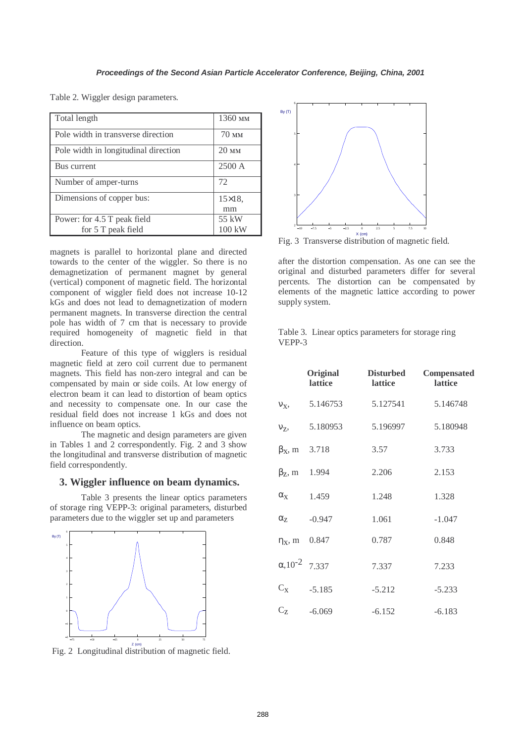| Total length                                      | 1360 <sub>MM</sub>       |
|---------------------------------------------------|--------------------------|
| Pole width in transverse direction                | $70 \text{ }\mathrm{nm}$ |
| Pole width in longitudinal direction              | 20 <sub>MM</sub>         |
| Bus current                                       | 2500 A                   |
| Number of amper-turns                             | 72                       |
| Dimensions of copper bus:                         | $15\times18$ ,<br>mm     |
| Power: for 4.5 T peak field<br>for 5 T peak field | 55 kW<br>100 kW          |

Table 2. Wiggler design parameters.

magnets is parallel to horizontal plane and directed towards to the center of the wiggler. So there is no demagnetization of permanent magnet by general (vertical) component of magnetic field. The horizontal component of wiggler field does not increase 10-12 kGs and does not lead to demagnetization of modern permanent magnets. In transverse direction the central pole has width of 7 cm that is necessary to provide required homogeneity of magnetic field in that direction.

 Feature of this type of wigglers is residual magnetic field at zero coil current due to permanent magnets. This field has non-zero integral and can be compensated by main or side coils. At low energy of electron beam it can lead to distortion of beam optics and necessity to compensate one. In our case the residual field does not increase 1 kGs and does not influence on beam optics.

The magnetic and design parameters are given in Tables 1 and 2 correspondently. Fig. 2 and 3 show the longitudinal and transverse distribution of magnetic field correspondently.

# **3. Wiggler influence on beam dynamics.**

 Table 3 presents the linear optics parameters of storage ring VEPP-3: original parameters, disturbed parameters due to the wiggler set up and parameters



Fig. 2 Longitudinal distribution of magnetic field.



Fig. 3 Transverse distribution of magnetic field.

after the distortion compensation. As one can see the original and disturbed parameters differ for several percents. The distortion can be compensated by elements of the magnetic lattice according to power supply system.

|        | Table 3. Linear optics parameters for storage ring |  |  |
|--------|----------------------------------------------------|--|--|
| VEPP-3 |                                                    |  |  |

|                             | Original<br>lattice | <b>Disturbed</b><br><b>lattice</b> | Compensated<br>lattice |
|-----------------------------|---------------------|------------------------------------|------------------------|
| $V_X$ ,                     | 5.146753            | 5.127541                           | 5.146748               |
| $V_{Z}$                     | 5.180953            | 5.196997                           | 5.180948               |
| $\beta_x$ , m               | 3.718               | 3.57                               | 3.733                  |
| $\beta$ <sub>z</sub> , m    | 1.994               | 2.206                              | 2.153                  |
| $\alpha_{\rm X}$            | 1.459               | 1.248                              | 1.328                  |
| $\alpha_{Z}$                | $-0.947$            | 1.061                              | $-1.047$               |
| $\eta_X$ , m                | 0.847               | 0.787                              | 0.848                  |
| $\alpha$ , 10 <sup>-2</sup> | 7.337               | 7.337                              | 7.233                  |
| $C_X$                       | $-5.185$            | $-5.212$                           | $-5.233$               |
| $\rm C_Z$                   | $-6.069$            | $-6.152$                           | $-6.183$               |